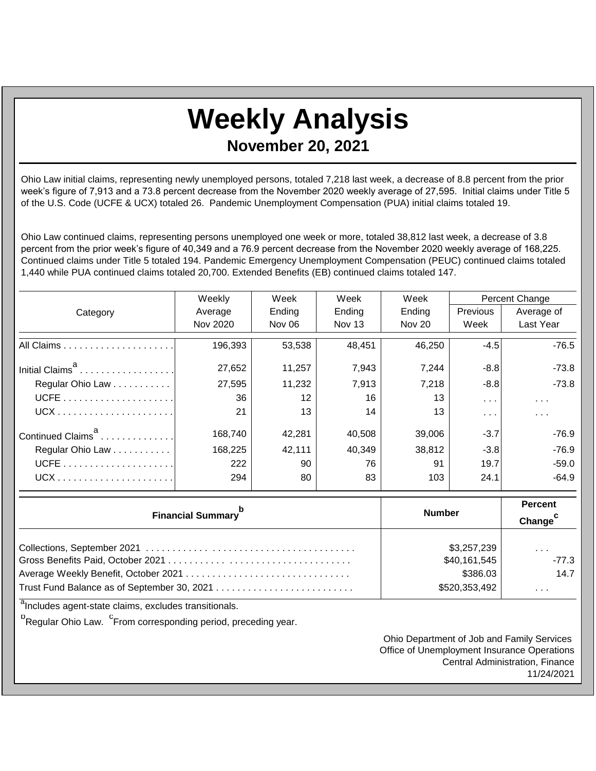## **Weekly Analysis**

**November 20, 2021**

Ohio Law initial claims, representing newly unemployed persons, totaled 7,218 last week, a decrease of 8.8 percent from the prior week's figure of 7,913 and a 73.8 percent decrease from the November 2020 weekly average of 27,595. Initial claims under Title 5 of the U.S. Code (UCFE & UCX) totaled 26. Pandemic Unemployment Compensation (PUA) initial claims totaled 19.

Ohio Law continued claims, representing persons unemployed one week or more, totaled 38,812 last week, a decrease of 3.8 percent from the prior week's figure of 40,349 and a 76.9 percent decrease from the November 2020 weekly average of 168,225. Continued claims under Title 5 totaled 194. Pandemic Emergency Unemployment Compensation (PEUC) continued claims totaled 1,440 while PUA continued claims totaled 20,700. Extended Benefits (EB) continued claims totaled 147.

|                               | Weekly   | Week   | Week   | Week          | Percent Change                     |                         |
|-------------------------------|----------|--------|--------|---------------|------------------------------------|-------------------------|
| Category                      | Average  | Ending | Ending | Ending        | <b>Previous</b>                    | Average of              |
|                               | Nov 2020 | Nov 06 | Nov 13 | <b>Nov 20</b> | Week                               | Last Year               |
|                               | 196,393  | 53,538 | 48,451 | 46.250        | $-4.5$                             | $-76.5$                 |
| Initial Claims <sup>a</sup>   | 27,652   | 11,257 | 7,943  | 7.244         | $-8.8$                             | $-73.8$                 |
| Regular Ohio Law              | 27,595   | 11,232 | 7,913  | 7,218         | $-8.8$                             | $-73.8$                 |
|                               | 36       | 12     | 16     | 13            | $\sim 100$ km s $^{-1}$            | $\sim 100$ km s $^{-1}$ |
|                               | 21       | 13     | 14     | 13            | $\mathbf{r}=\mathbf{r}+\mathbf{r}$ | $\sim$ $\sim$ $\sim$    |
| Continued Claims <sup>a</sup> | 168.740  | 42.281 | 40,508 | 39,006        | $-3.7$                             | $-76.9$                 |
| Regular Ohio Law              | 168,225  | 42,111 | 40,349 | 38,812        | $-3.8$                             | $-76.9$                 |
|                               | 222      | 90     | 76     | 91            | 19.7                               | $-59.0$                 |
|                               | 294      | 80     | 83     | 103           | 24.1                               | $-64.9$                 |

| <b>Financial Summary</b> <sup>p</sup> | <b>Number</b> | <b>Percent</b><br>Change <sup>c</sup> |  |
|---------------------------------------|---------------|---------------------------------------|--|
|                                       | \$3,257,239   | $\sim$ $\sim$ $\sim$                  |  |
|                                       | \$40,161,545  | $-77.3$                               |  |
|                                       | \$386.03      | 14.7                                  |  |
|                                       | \$520,353,492 | $\sim$ 10 $\sim$ 10 $\sim$            |  |

<sup>a</sup>Includes agent-state claims, excludes transitionals.

<sup>b</sup>Regular Ohio Law. <sup>C</sup>From corresponding period, preceding year.

Ohio Department of Job and Family Services Office of Unemployment Insurance Operations Central Administration, Finance 11/24/2021